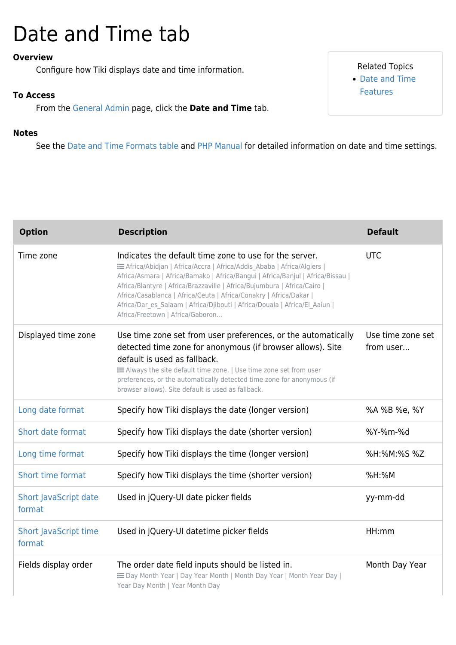# Date and Time tab

#### **Overview**

Configure how Tiki displays date and time information.

#### **To Access**

From the [General Admin](https://doc.tiki.org/General-Admin) page, click the **Date and Time** tab.

#### **Notes**

See the [Date and Time Formats table](#page--1-0) and [PHP Manual](http://www.php.net/manual/en/function.strftime.php) for detailed information on date and time settings.

| <b>Option</b>                          | <b>Description</b>                                                                                                                                                                                                                                                                                                                                                                                                                                                                       | <b>Default</b>                 |
|----------------------------------------|------------------------------------------------------------------------------------------------------------------------------------------------------------------------------------------------------------------------------------------------------------------------------------------------------------------------------------------------------------------------------------------------------------------------------------------------------------------------------------------|--------------------------------|
| Time zone                              | Indicates the default time zone to use for the server.<br>E Africa/Abidjan   Africa/Accra   Africa/Addis Ababa   Africa/Algiers  <br>Africa/Asmara   Africa/Bamako   Africa/Bangui   Africa/Banjul   Africa/Bissau  <br>Africa/Blantyre   Africa/Brazzaville   Africa/Bujumbura   Africa/Cairo  <br>Africa/Casablanca   Africa/Ceuta   Africa/Conakry   Africa/Dakar  <br>Africa/Dar_es_Salaam   Africa/Djibouti   Africa/Douala   Africa/El_Aaiun  <br>Africa/Freetown   Africa/Gaboron | <b>UTC</b>                     |
| Displayed time zone                    | Use time zone set from user preferences, or the automatically<br>detected time zone for anonymous (if browser allows). Site<br>default is used as fallback.<br>E Always the site default time zone.   Use time zone set from user<br>preferences, or the automatically detected time zone for anonymous (if<br>browser allows). Site default is used as fallback.                                                                                                                        | Use time zone set<br>from user |
| Long date format                       | Specify how Tiki displays the date (longer version)                                                                                                                                                                                                                                                                                                                                                                                                                                      | %A %B %e, %Y                   |
| Short date format                      | Specify how Tiki displays the date (shorter version)                                                                                                                                                                                                                                                                                                                                                                                                                                     | %Y-%m-%d                       |
| Long time format                       | Specify how Tiki displays the time (longer version)                                                                                                                                                                                                                                                                                                                                                                                                                                      | %H:%M:%S %Z                    |
| Short time format                      | Specify how Tiki displays the time (shorter version)                                                                                                                                                                                                                                                                                                                                                                                                                                     | $%H$ :%M                       |
| Short JavaScript date<br>format        | Used in jQuery-UI date picker fields                                                                                                                                                                                                                                                                                                                                                                                                                                                     | yy-mm-dd                       |
| <b>Short JavaScript time</b><br>format | Used in jQuery-UI datetime picker fields                                                                                                                                                                                                                                                                                                                                                                                                                                                 | HH:mm                          |
| Fields display order                   | The order date field inputs should be listed in.<br>E Day Month Year   Day Year Month   Month Day Year   Month Year Day  <br>Year Day Month   Year Month Day                                                                                                                                                                                                                                                                                                                             | Month Day Year                 |

Related Topics [Date and Time](https://doc.tiki.org/Date-and-Time-Features) [Features](https://doc.tiki.org/Date-and-Time-Features)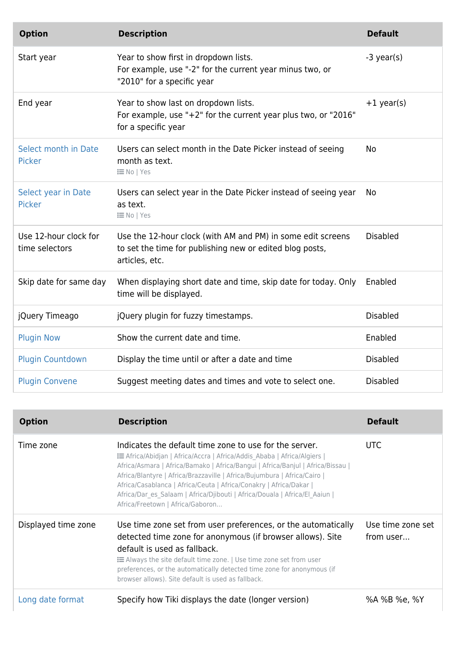| <b>Option</b>                           | <b>Description</b>                                                                                                                        | <b>Default</b>  |
|-----------------------------------------|-------------------------------------------------------------------------------------------------------------------------------------------|-----------------|
| Start year                              | Year to show first in dropdown lists.<br>For example, use "-2" for the current year minus two, or<br>"2010" for a specific year           | $-3$ year(s)    |
| End year                                | Year to show last on dropdown lists.<br>For example, use "+2" for the current year plus two, or "2016"<br>for a specific year             | $+1$ year(s)    |
| Select month in Date<br><b>Picker</b>   | Users can select month in the Date Picker instead of seeing<br>month as text.<br><b>i≡No</b>   Yes                                        | No              |
| Select year in Date<br>Picker           | Users can select year in the Date Picker instead of seeing year<br>as text.<br><b>i≡No</b>   Yes                                          | No              |
| Use 12-hour clock for<br>time selectors | Use the 12-hour clock (with AM and PM) in some edit screens<br>to set the time for publishing new or edited blog posts,<br>articles, etc. | <b>Disabled</b> |
| Skip date for same day                  | When displaying short date and time, skip date for today. Only<br>time will be displayed.                                                 | Enabled         |
| jQuery Timeago                          | jQuery plugin for fuzzy timestamps.                                                                                                       | <b>Disabled</b> |
| <b>Plugin Now</b>                       | Show the current date and time.                                                                                                           | Enabled         |
| <b>Plugin Countdown</b>                 | Display the time until or after a date and time                                                                                           | <b>Disabled</b> |
| <b>Plugin Convene</b>                   | Suggest meeting dates and times and vote to select one.                                                                                   | <b>Disabled</b> |

| <b>Option</b>       | <b>Description</b>                                                                                                                                                                                                                                                                                                                                                                                                                                                                              | <b>Default</b>                 |
|---------------------|-------------------------------------------------------------------------------------------------------------------------------------------------------------------------------------------------------------------------------------------------------------------------------------------------------------------------------------------------------------------------------------------------------------------------------------------------------------------------------------------------|--------------------------------|
| Time zone           | Indicates the default time zone to use for the server.<br><b>E Africa/Abidjan   Africa/Accra   Africa/Addis Ababa   Africa/Algiers  </b><br>Africa/Asmara   Africa/Bamako   Africa/Bangui   Africa/Banjul   Africa/Bissau  <br>Africa/Blantyre   Africa/Brazzaville   Africa/Bujumbura   Africa/Cairo  <br>Africa/Casablanca   Africa/Ceuta   Africa/Conakry   Africa/Dakar  <br>Africa/Dar es Salaam   Africa/Djibouti   Africa/Douala   Africa/El Aaiun  <br>Africa/Freetown   Africa/Gaboron | UTC.                           |
| Displayed time zone | Use time zone set from user preferences, or the automatically<br>detected time zone for anonymous (if browser allows). Site<br>default is used as fallback.<br><b>E</b> Always the site default time zone.   Use time zone set from user<br>preferences, or the automatically detected time zone for anonymous (if<br>browser allows). Site default is used as fallback.                                                                                                                        | Use time zone set<br>from user |
| Long date format    | Specify how Tiki displays the date (longer version)                                                                                                                                                                                                                                                                                                                                                                                                                                             | %A %B %e, %Y                   |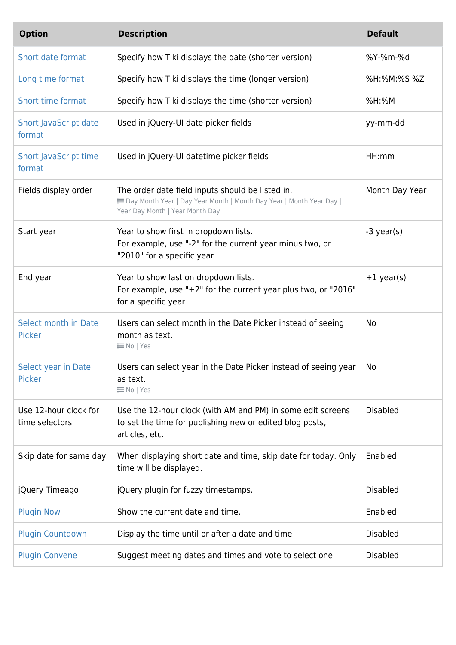| <b>Option</b>                           | <b>Description</b>                                                                                                                                           | <b>Default</b>  |
|-----------------------------------------|--------------------------------------------------------------------------------------------------------------------------------------------------------------|-----------------|
| Short date format                       | Specify how Tiki displays the date (shorter version)                                                                                                         | %Y-%m-%d        |
| Long time format                        | Specify how Tiki displays the time (longer version)                                                                                                          | %H:%M:%S %Z     |
| Short time format                       | Specify how Tiki displays the time (shorter version)                                                                                                         | $%H:$ %M        |
| <b>Short JavaScript date</b><br>format  | Used in jQuery-UI date picker fields                                                                                                                         | yy-mm-dd        |
| <b>Short JavaScript time</b><br>format  | Used in jQuery-UI datetime picker fields                                                                                                                     | HH:mm           |
| Fields display order                    | The order date field inputs should be listed in.<br>E Day Month Year   Day Year Month   Month Day Year   Month Year Day  <br>Year Day Month   Year Month Day | Month Day Year  |
| Start year                              | Year to show first in dropdown lists.<br>For example, use "-2" for the current year minus two, or<br>"2010" for a specific year                              | $-3$ year(s)    |
| End year                                | Year to show last on dropdown lists.<br>For example, use "+2" for the current year plus two, or "2016"<br>for a specific year                                | $+1$ year(s)    |
| Select month in Date<br><b>Picker</b>   | Users can select month in the Date Picker instead of seeing<br>month as text.<br><b>i≡No</b>   Yes                                                           | No              |
| Select year in Date<br>Picker           | Users can select year in the Date Picker instead of seeing year<br>as text.<br><b>i≡No</b>   Yes                                                             | No              |
| Use 12-hour clock for<br>time selectors | Use the 12-hour clock (with AM and PM) in some edit screens<br>to set the time for publishing new or edited blog posts,<br>articles, etc.                    | <b>Disabled</b> |
| Skip date for same day                  | When displaying short date and time, skip date for today. Only<br>time will be displayed.                                                                    | Enabled         |
| jQuery Timeago                          | jQuery plugin for fuzzy timestamps.                                                                                                                          | <b>Disabled</b> |
| <b>Plugin Now</b>                       | Show the current date and time.                                                                                                                              | Enabled         |
| <b>Plugin Countdown</b>                 | Display the time until or after a date and time                                                                                                              | <b>Disabled</b> |
| <b>Plugin Convene</b>                   | Suggest meeting dates and times and vote to select one.                                                                                                      | <b>Disabled</b> |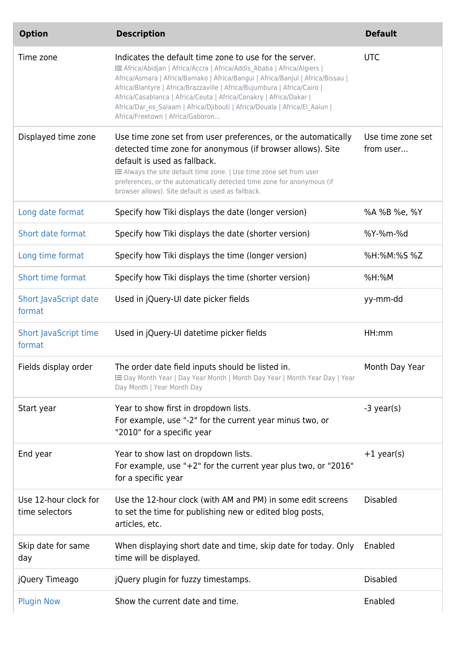| <b>Option</b>                           | <b>Description</b>                                                                                                                                                                                                                                                                                                                                                                                                                                                                       | <b>Default</b>                 |
|-----------------------------------------|------------------------------------------------------------------------------------------------------------------------------------------------------------------------------------------------------------------------------------------------------------------------------------------------------------------------------------------------------------------------------------------------------------------------------------------------------------------------------------------|--------------------------------|
| Time zone                               | Indicates the default time zone to use for the server.<br>E Africa/Abidjan   Africa/Accra   Africa/Addis Ababa   Africa/Algiers  <br>Africa/Asmara   Africa/Bamako   Africa/Bangui   Africa/Banjul   Africa/Bissau  <br>Africa/Blantyre   Africa/Brazzaville   Africa/Bujumbura   Africa/Cairo  <br>Africa/Casablanca   Africa/Ceuta   Africa/Conakry   Africa/Dakar  <br>Africa/Dar_es_Salaam   Africa/Djibouti   Africa/Douala   Africa/El_Aaiun  <br>Africa/Freetown   Africa/Gaboron | <b>UTC</b>                     |
| Displayed time zone                     | Use time zone set from user preferences, or the automatically<br>detected time zone for anonymous (if browser allows). Site<br>default is used as fallback.<br>E Always the site default time zone.   Use time zone set from user<br>preferences, or the automatically detected time zone for anonymous (if<br>browser allows). Site default is used as fallback.                                                                                                                        | Use time zone set<br>from user |
| Long date format                        | Specify how Tiki displays the date (longer version)                                                                                                                                                                                                                                                                                                                                                                                                                                      | %A %B %e, %Y                   |
| Short date format                       | Specify how Tiki displays the date (shorter version)                                                                                                                                                                                                                                                                                                                                                                                                                                     | %Y-%m-%d                       |
| Long time format                        | Specify how Tiki displays the time (longer version)                                                                                                                                                                                                                                                                                                                                                                                                                                      | %H:%M:%S %Z                    |
| Short time format                       | Specify how Tiki displays the time (shorter version)                                                                                                                                                                                                                                                                                                                                                                                                                                     | $%H:$ %M                       |
| Short JavaScript date<br>format         | Used in jQuery-UI date picker fields                                                                                                                                                                                                                                                                                                                                                                                                                                                     | yy-mm-dd                       |
| <b>Short JavaScript time</b><br>format  | Used in jQuery-UI datetime picker fields                                                                                                                                                                                                                                                                                                                                                                                                                                                 | HH:mm                          |
| Fields display order                    | The order date field inputs should be listed in.<br>E Day Month Year   Day Year Month   Month Day Year   Month Year Day   Year<br>Day Month   Year Month Day                                                                                                                                                                                                                                                                                                                             | Month Day Year                 |
| Start year                              | Year to show first in dropdown lists.<br>For example, use "-2" for the current year minus two, or<br>"2010" for a specific year                                                                                                                                                                                                                                                                                                                                                          | $-3$ year(s)                   |
| End year                                | Year to show last on dropdown lists.<br>For example, use "+2" for the current year plus two, or "2016"<br>for a specific year                                                                                                                                                                                                                                                                                                                                                            | $+1$ year(s)                   |
| Use 12-hour clock for<br>time selectors | Use the 12-hour clock (with AM and PM) in some edit screens<br>to set the time for publishing new or edited blog posts,<br>articles, etc.                                                                                                                                                                                                                                                                                                                                                | <b>Disabled</b>                |
| Skip date for same<br>day               | When displaying short date and time, skip date for today. Only<br>time will be displayed.                                                                                                                                                                                                                                                                                                                                                                                                | Enabled                        |
| jQuery Timeago                          | jQuery plugin for fuzzy timestamps.                                                                                                                                                                                                                                                                                                                                                                                                                                                      | <b>Disabled</b>                |
| <b>Plugin Now</b>                       | Show the current date and time.                                                                                                                                                                                                                                                                                                                                                                                                                                                          | Enabled                        |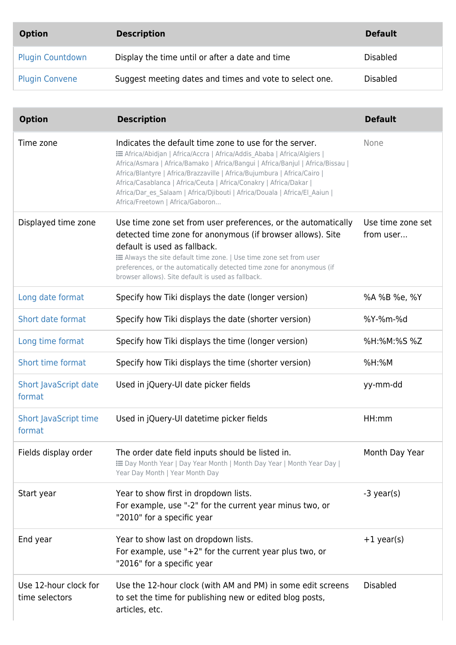| <b>Option</b>           | <b>Description</b>                                      | <b>Default</b>  |
|-------------------------|---------------------------------------------------------|-----------------|
| <b>Plugin Countdown</b> | Display the time until or after a date and time         | <b>Disabled</b> |
| <b>Plugin Convene</b>   | Suggest meeting dates and times and vote to select one. | <b>Disabled</b> |

| <b>Option</b>                           | <b>Description</b>                                                                                                                                                                                                                                                                                                                                                                                                                                                                       | <b>Default</b>                 |
|-----------------------------------------|------------------------------------------------------------------------------------------------------------------------------------------------------------------------------------------------------------------------------------------------------------------------------------------------------------------------------------------------------------------------------------------------------------------------------------------------------------------------------------------|--------------------------------|
| Time zone                               | Indicates the default time zone to use for the server.<br>E Africa/Abidjan   Africa/Accra   Africa/Addis Ababa   Africa/Algiers  <br>Africa/Asmara   Africa/Bamako   Africa/Bangui   Africa/Banjul   Africa/Bissau  <br>Africa/Blantyre   Africa/Brazzaville   Africa/Bujumbura   Africa/Cairo  <br>Africa/Casablanca   Africa/Ceuta   Africa/Conakry   Africa/Dakar  <br>Africa/Dar_es_Salaam   Africa/Djibouti   Africa/Douala   Africa/El_Aaiun  <br>Africa/Freetown   Africa/Gaboron | None                           |
| Displayed time zone                     | Use time zone set from user preferences, or the automatically<br>detected time zone for anonymous (if browser allows). Site<br>default is used as fallback.<br>E Always the site default time zone.   Use time zone set from user<br>preferences, or the automatically detected time zone for anonymous (if<br>browser allows). Site default is used as fallback.                                                                                                                        | Use time zone set<br>from user |
| Long date format                        | Specify how Tiki displays the date (longer version)                                                                                                                                                                                                                                                                                                                                                                                                                                      | %A %B %e, %Y                   |
| Short date format                       | Specify how Tiki displays the date (shorter version)                                                                                                                                                                                                                                                                                                                                                                                                                                     | %Y-%m-%d                       |
| Long time format                        | Specify how Tiki displays the time (longer version)                                                                                                                                                                                                                                                                                                                                                                                                                                      | %H:%M:%S %Z                    |
| Short time format                       | Specify how Tiki displays the time (shorter version)                                                                                                                                                                                                                                                                                                                                                                                                                                     | $%H:$ %M                       |
| <b>Short JavaScript date</b><br>format  | Used in jQuery-UI date picker fields                                                                                                                                                                                                                                                                                                                                                                                                                                                     | yy-mm-dd                       |
| <b>Short JavaScript time</b><br>format  | Used in jQuery-UI datetime picker fields                                                                                                                                                                                                                                                                                                                                                                                                                                                 | HH:mm                          |
| Fields display order                    | The order date field inputs should be listed in.<br>E Day Month Year   Day Year Month   Month Day Year   Month Year Day  <br>Year Day Month   Year Month Day                                                                                                                                                                                                                                                                                                                             | Month Day Year                 |
| Start year                              | Year to show first in dropdown lists.<br>For example, use "-2" for the current year minus two, or<br>"2010" for a specific year                                                                                                                                                                                                                                                                                                                                                          | $-3$ year(s)                   |
| End year                                | Year to show last on dropdown lists.<br>For example, use " $+2$ " for the current year plus two, or<br>"2016" for a specific year                                                                                                                                                                                                                                                                                                                                                        | $+1$ year(s)                   |
| Use 12-hour clock for<br>time selectors | Use the 12-hour clock (with AM and PM) in some edit screens<br>to set the time for publishing new or edited blog posts,<br>articles, etc.                                                                                                                                                                                                                                                                                                                                                | <b>Disabled</b>                |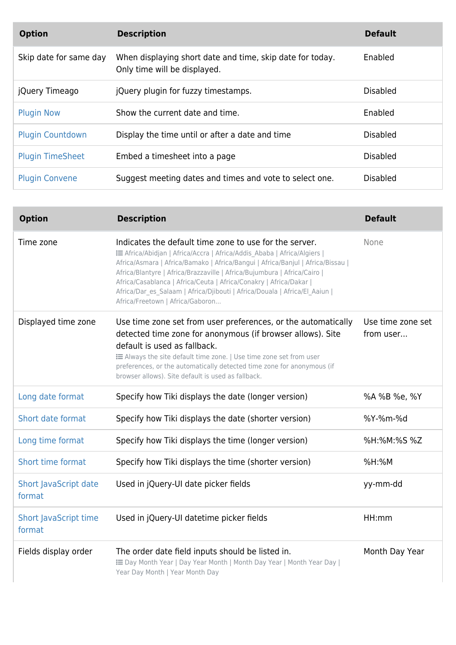| <b>Option</b>           | <b>Description</b>                                                                        | <b>Default</b>  |
|-------------------------|-------------------------------------------------------------------------------------------|-----------------|
| Skip date for same day  | When displaying short date and time, skip date for today.<br>Only time will be displayed. | Enabled         |
| jQuery Timeago          | jQuery plugin for fuzzy timestamps.                                                       | <b>Disabled</b> |
| <b>Plugin Now</b>       | Show the current date and time.                                                           | Enabled         |
| <b>Plugin Countdown</b> | Display the time until or after a date and time                                           | <b>Disabled</b> |
| <b>Plugin TimeSheet</b> | Embed a timesheet into a page                                                             | <b>Disabled</b> |
| <b>Plugin Convene</b>   | Suggest meeting dates and times and vote to select one.                                   | <b>Disabled</b> |

| <b>Option</b>                          | <b>Description</b>                                                                                                                                                                                                                                                                                                                                                                                                                                                                       | <b>Default</b>                 |
|----------------------------------------|------------------------------------------------------------------------------------------------------------------------------------------------------------------------------------------------------------------------------------------------------------------------------------------------------------------------------------------------------------------------------------------------------------------------------------------------------------------------------------------|--------------------------------|
| Time zone                              | Indicates the default time zone to use for the server.<br>E Africa/Abidjan   Africa/Accra   Africa/Addis Ababa   Africa/Algiers  <br>Africa/Asmara   Africa/Bamako   Africa/Bangui   Africa/Banjul   Africa/Bissau  <br>Africa/Blantyre   Africa/Brazzaville   Africa/Bujumbura   Africa/Cairo  <br>Africa/Casablanca   Africa/Ceuta   Africa/Conakry   Africa/Dakar  <br>Africa/Dar_es_Salaam   Africa/Djibouti   Africa/Douala   Africa/El_Aaiun  <br>Africa/Freetown   Africa/Gaboron | None                           |
| Displayed time zone                    | Use time zone set from user preferences, or the automatically<br>detected time zone for anonymous (if browser allows). Site<br>default is used as fallback.<br>E Always the site default time zone.   Use time zone set from user<br>preferences, or the automatically detected time zone for anonymous (if<br>browser allows). Site default is used as fallback.                                                                                                                        | Use time zone set<br>from user |
| Long date format                       | Specify how Tiki displays the date (longer version)                                                                                                                                                                                                                                                                                                                                                                                                                                      | %A %B %e, %Y                   |
| Short date format                      | Specify how Tiki displays the date (shorter version)                                                                                                                                                                                                                                                                                                                                                                                                                                     | %Y-%m-%d                       |
| Long time format                       | Specify how Tiki displays the time (longer version)                                                                                                                                                                                                                                                                                                                                                                                                                                      | %H:%M:%S %Z                    |
| Short time format                      | Specify how Tiki displays the time (shorter version)                                                                                                                                                                                                                                                                                                                                                                                                                                     | %H:%M                          |
| <b>Short JavaScript date</b><br>format | Used in jQuery-UI date picker fields                                                                                                                                                                                                                                                                                                                                                                                                                                                     | yy-mm-dd                       |
| <b>Short JavaScript time</b><br>format | Used in jQuery-UI datetime picker fields                                                                                                                                                                                                                                                                                                                                                                                                                                                 | HH:mm                          |
| Fields display order                   | The order date field inputs should be listed in.<br>E Day Month Year   Day Year Month   Month Day Year   Month Year Day  <br>Year Day Month   Year Month Day                                                                                                                                                                                                                                                                                                                             | Month Day Year                 |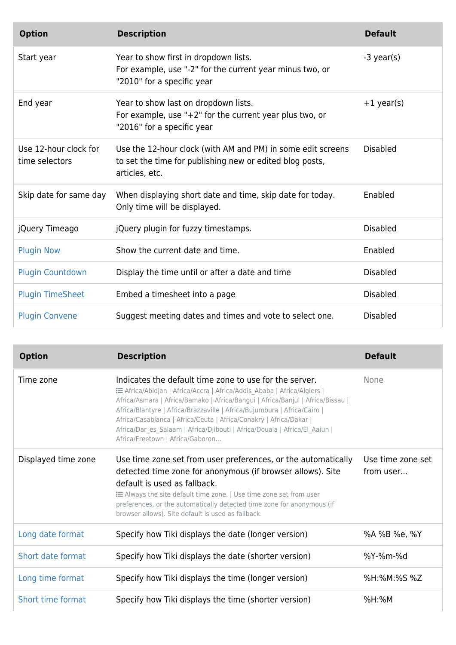| <b>Option</b>                           | <b>Description</b>                                                                                                                        | <b>Default</b>  |
|-----------------------------------------|-------------------------------------------------------------------------------------------------------------------------------------------|-----------------|
| Start year                              | Year to show first in dropdown lists.<br>For example, use "-2" for the current year minus two, or<br>"2010" for a specific year           | $-3$ year(s)    |
| End year                                | Year to show last on dropdown lists.<br>For example, use " $+2$ " for the current year plus two, or<br>"2016" for a specific year         | $+1$ year(s)    |
| Use 12-hour clock for<br>time selectors | Use the 12-hour clock (with AM and PM) in some edit screens<br>to set the time for publishing new or edited blog posts,<br>articles, etc. | <b>Disabled</b> |
| Skip date for same day                  | When displaying short date and time, skip date for today.<br>Only time will be displayed.                                                 | Enabled         |
| jQuery Timeago                          | jQuery plugin for fuzzy timestamps.                                                                                                       | <b>Disabled</b> |
| <b>Plugin Now</b>                       | Show the current date and time.                                                                                                           | Enabled         |
| <b>Plugin Countdown</b>                 | Display the time until or after a date and time                                                                                           | <b>Disabled</b> |
| <b>Plugin TimeSheet</b>                 | Embed a timesheet into a page                                                                                                             | <b>Disabled</b> |
| <b>Plugin Convene</b>                   | Suggest meeting dates and times and vote to select one.                                                                                   | <b>Disabled</b> |

| <b>Option</b>       | <b>Description</b>                                                                                                                                                                                                                                                                                                                                                                                                                                                                     | <b>Default</b>                 |
|---------------------|----------------------------------------------------------------------------------------------------------------------------------------------------------------------------------------------------------------------------------------------------------------------------------------------------------------------------------------------------------------------------------------------------------------------------------------------------------------------------------------|--------------------------------|
| Time zone           | Indicates the default time zone to use for the server.<br>E Africa/Abidjan   Africa/Accra   Africa/Addis Ababa   Africa/Algiers  <br>Africa/Asmara   Africa/Bamako   Africa/Bangui   Africa/Banjul   Africa/Bissau  <br>Africa/Blantyre   Africa/Brazzaville   Africa/Bujumbura   Africa/Cairo<br>Africa/Casablanca   Africa/Ceuta   Africa/Conakry   Africa/Dakar  <br>Africa/Dar_es_Salaam   Africa/Djibouti   Africa/Douala   Africa/El_Aaiun  <br>Africa/Freetown   Africa/Gaboron | None                           |
| Displayed time zone | Use time zone set from user preferences, or the automatically<br>detected time zone for anonymous (if browser allows). Site<br>default is used as fallback.<br><b>EXEL</b> Always the site default time zone.   Use time zone set from user<br>preferences, or the automatically detected time zone for anonymous (if<br>browser allows). Site default is used as fallback.                                                                                                            | Use time zone set<br>from user |
| Long date format    | Specify how Tiki displays the date (longer version)                                                                                                                                                                                                                                                                                                                                                                                                                                    | %A %B %e, %Y                   |
| Short date format   | Specify how Tiki displays the date (shorter version)                                                                                                                                                                                                                                                                                                                                                                                                                                   | %Y-%m-%d                       |
| Long time format    | Specify how Tiki displays the time (longer version)                                                                                                                                                                                                                                                                                                                                                                                                                                    | %H:%M:%S %Z                    |
| Short time format   | Specify how Tiki displays the time (shorter version)                                                                                                                                                                                                                                                                                                                                                                                                                                   | $%H:$ %M                       |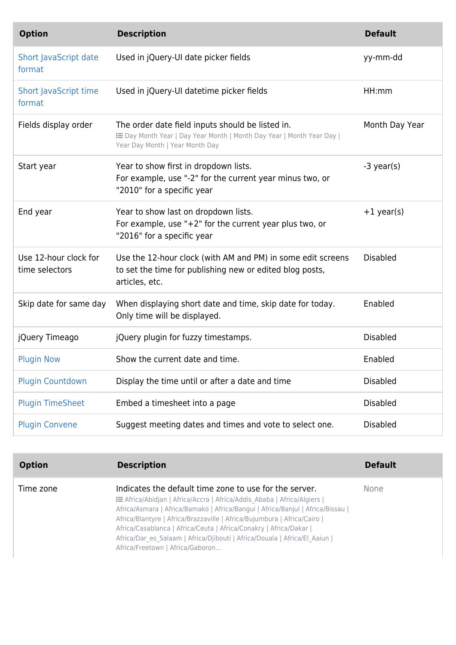| <b>Option</b>                           | <b>Description</b>                                                                                                                                           | <b>Default</b>  |
|-----------------------------------------|--------------------------------------------------------------------------------------------------------------------------------------------------------------|-----------------|
| Short JavaScript date<br>format         | Used in jQuery-UI date picker fields                                                                                                                         | yy-mm-dd        |
| <b>Short JavaScript time</b><br>format  | Used in jQuery-UI datetime picker fields                                                                                                                     | HH:mm           |
| Fields display order                    | The order date field inputs should be listed in.<br>E Day Month Year   Day Year Month   Month Day Year   Month Year Day  <br>Year Day Month   Year Month Day | Month Day Year  |
| Start year                              | Year to show first in dropdown lists.<br>For example, use "-2" for the current year minus two, or<br>"2010" for a specific year                              | $-3$ year(s)    |
| End year                                | Year to show last on dropdown lists.<br>For example, use " $+2$ " for the current year plus two, or<br>"2016" for a specific year                            | $+1$ year(s)    |
| Use 12-hour clock for<br>time selectors | Use the 12-hour clock (with AM and PM) in some edit screens<br>to set the time for publishing new or edited blog posts,<br>articles, etc.                    | <b>Disabled</b> |
| Skip date for same day                  | When displaying short date and time, skip date for today.<br>Only time will be displayed.                                                                    | Enabled         |
| jQuery Timeago                          | jQuery plugin for fuzzy timestamps.                                                                                                                          | <b>Disabled</b> |
| <b>Plugin Now</b>                       | Show the current date and time.                                                                                                                              | Enabled         |
| <b>Plugin Countdown</b>                 | Display the time until or after a date and time                                                                                                              | <b>Disabled</b> |
| <b>Plugin TimeSheet</b>                 | Embed a timesheet into a page                                                                                                                                | <b>Disabled</b> |
| <b>Plugin Convene</b>                   | Suggest meeting dates and times and vote to select one.                                                                                                      | <b>Disabled</b> |

| <b>Option</b> | <b>Description</b>                                                                                                                                                                                                                                                                                                                                                                                                                                                                                       | <b>Default</b> |
|---------------|----------------------------------------------------------------------------------------------------------------------------------------------------------------------------------------------------------------------------------------------------------------------------------------------------------------------------------------------------------------------------------------------------------------------------------------------------------------------------------------------------------|----------------|
| Time zone     | Indicates the default time zone to use for the server.<br><b>Example 15 Africa/Abidian   Africa/Accra   Africa/Addis Ababa   Africa/Algiers  </b><br>Africa/Asmara   Africa/Bamako   Africa/Bangui   Africa/Banjul   Africa/Bissau  <br>Africa/Blantyre   Africa/Brazzaville   Africa/Bujumbura   Africa/Cairo  <br>Africa/Casablanca   Africa/Ceuta   Africa/Conakry   Africa/Dakar  <br>Africa/Dar es Salaam   Africa/Djibouti   Africa/Douala   Africa/El Aaiun  <br>Africa/Freetown   Africa/Gaboron | <b>None</b>    |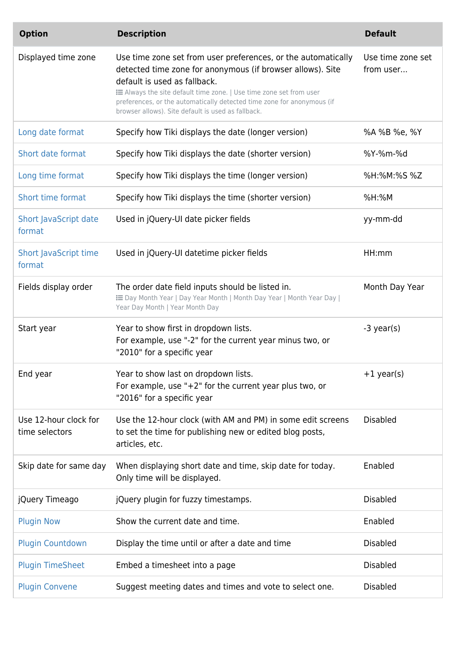| <b>Option</b>                           | <b>Description</b>                                                                                                                                                                                                                                                                                                                                                | <b>Default</b>                 |
|-----------------------------------------|-------------------------------------------------------------------------------------------------------------------------------------------------------------------------------------------------------------------------------------------------------------------------------------------------------------------------------------------------------------------|--------------------------------|
| Displayed time zone                     | Use time zone set from user preferences, or the automatically<br>detected time zone for anonymous (if browser allows). Site<br>default is used as fallback.<br>E Always the site default time zone.   Use time zone set from user<br>preferences, or the automatically detected time zone for anonymous (if<br>browser allows). Site default is used as fallback. | Use time zone set<br>from user |
| Long date format                        | Specify how Tiki displays the date (longer version)                                                                                                                                                                                                                                                                                                               | %A %B %e, %Y                   |
| Short date format                       | Specify how Tiki displays the date (shorter version)                                                                                                                                                                                                                                                                                                              | %Y-%m-%d                       |
| Long time format                        | Specify how Tiki displays the time (longer version)                                                                                                                                                                                                                                                                                                               | %H:%M:%S %Z                    |
| Short time format                       | Specify how Tiki displays the time (shorter version)                                                                                                                                                                                                                                                                                                              | $%H$ :%M                       |
| Short JavaScript date<br>format         | Used in jQuery-UI date picker fields                                                                                                                                                                                                                                                                                                                              | yy-mm-dd                       |
| <b>Short JavaScript time</b><br>format  | Used in jQuery-UI datetime picker fields                                                                                                                                                                                                                                                                                                                          | HH:mm                          |
| Fields display order                    | The order date field inputs should be listed in.<br>E Day Month Year   Day Year Month   Month Day Year   Month Year Day  <br>Year Day Month   Year Month Day                                                                                                                                                                                                      | Month Day Year                 |
| Start year                              | Year to show first in dropdown lists.<br>For example, use "-2" for the current year minus two, or<br>"2010" for a specific year                                                                                                                                                                                                                                   | $-3$ year(s)                   |
| End year                                | Year to show last on dropdown lists.<br>For example, use " $+2$ " for the current year plus two, or<br>"2016" for a specific year                                                                                                                                                                                                                                 | $+1$ year(s)                   |
| Use 12-hour clock for<br>time selectors | Use the 12-hour clock (with AM and PM) in some edit screens<br>to set the time for publishing new or edited blog posts,<br>articles, etc.                                                                                                                                                                                                                         | <b>Disabled</b>                |
| Skip date for same day                  | When displaying short date and time, skip date for today.<br>Only time will be displayed.                                                                                                                                                                                                                                                                         | Enabled                        |
| jQuery Timeago                          | jQuery plugin for fuzzy timestamps.                                                                                                                                                                                                                                                                                                                               | <b>Disabled</b>                |
| <b>Plugin Now</b>                       | Show the current date and time.                                                                                                                                                                                                                                                                                                                                   | Enabled                        |
| <b>Plugin Countdown</b>                 | Display the time until or after a date and time                                                                                                                                                                                                                                                                                                                   | <b>Disabled</b>                |
| <b>Plugin TimeSheet</b>                 | Embed a timesheet into a page                                                                                                                                                                                                                                                                                                                                     | <b>Disabled</b>                |
| <b>Plugin Convene</b>                   | Suggest meeting dates and times and vote to select one.                                                                                                                                                                                                                                                                                                           | <b>Disabled</b>                |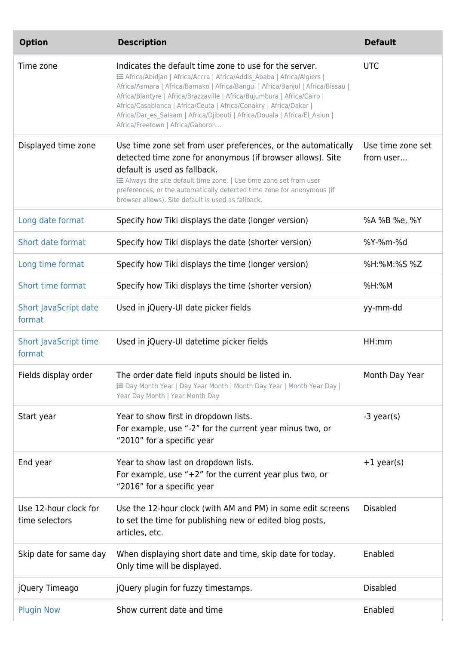| <b>Option</b>                           | <b>Description</b>                                                                                                                                                                                                                                                                                                                                                                                                                                                                       | <b>Default</b>                 |
|-----------------------------------------|------------------------------------------------------------------------------------------------------------------------------------------------------------------------------------------------------------------------------------------------------------------------------------------------------------------------------------------------------------------------------------------------------------------------------------------------------------------------------------------|--------------------------------|
| Time zone                               | Indicates the default time zone to use for the server.<br>E Africa/Abidjan   Africa/Accra   Africa/Addis_Ababa   Africa/Algiers  <br>Africa/Asmara   Africa/Bamako   Africa/Bangui   Africa/Banjul   Africa/Bissau  <br>Africa/Blantyre   Africa/Brazzaville   Africa/Bujumbura   Africa/Cairo  <br>Africa/Casablanca   Africa/Ceuta   Africa/Conakry   Africa/Dakar  <br>Africa/Dar_es_Salaam   Africa/Djibouti   Africa/Douala   Africa/El_Aaiun  <br>Africa/Freetown   Africa/Gaboron | <b>UTC</b>                     |
| Displayed time zone                     | Use time zone set from user preferences, or the automatically<br>detected time zone for anonymous (if browser allows). Site<br>default is used as fallback.<br><b>EXEL</b> Always the site default time zone.   Use time zone set from user<br>preferences, or the automatically detected time zone for anonymous (if<br>browser allows). Site default is used as fallback.                                                                                                              | Use time zone set<br>from user |
| Long date format                        | Specify how Tiki displays the date (longer version)                                                                                                                                                                                                                                                                                                                                                                                                                                      | %A %B %e, %Y                   |
| Short date format                       | Specify how Tiki displays the date (shorter version)                                                                                                                                                                                                                                                                                                                                                                                                                                     | %Y-%m-%d                       |
| Long time format                        | Specify how Tiki displays the time (longer version)                                                                                                                                                                                                                                                                                                                                                                                                                                      | %H:%M:%S %Z                    |
| Short time format                       | Specify how Tiki displays the time (shorter version)                                                                                                                                                                                                                                                                                                                                                                                                                                     | $%H$ :%M                       |
| Short JavaScript date<br>format         | Used in jQuery-UI date picker fields                                                                                                                                                                                                                                                                                                                                                                                                                                                     | yy-mm-dd                       |
| <b>Short JavaScript time</b><br>format  | Used in jQuery-UI datetime picker fields                                                                                                                                                                                                                                                                                                                                                                                                                                                 | HH:mm                          |
| Fields display order                    | The order date field inputs should be listed in.<br>E Day Month Year   Day Year Month   Month Day Year   Month Year Day  <br>Year Day Month   Year Month Day                                                                                                                                                                                                                                                                                                                             | Month Day Year                 |
| Start year                              | Year to show first in dropdown lists.<br>For example, use "-2" for the current year minus two, or<br>"2010" for a specific year                                                                                                                                                                                                                                                                                                                                                          | -3 year(s)                     |
| End year                                | Year to show last on dropdown lists.<br>For example, use " $+2$ " for the current year plus two, or<br>"2016" for a specific year                                                                                                                                                                                                                                                                                                                                                        | $+1$ year(s)                   |
| Use 12-hour clock for<br>time selectors | Use the 12-hour clock (with AM and PM) in some edit screens<br>to set the time for publishing new or edited blog posts,<br>articles, etc.                                                                                                                                                                                                                                                                                                                                                | <b>Disabled</b>                |
| Skip date for same day                  | When displaying short date and time, skip date for today.<br>Only time will be displayed.                                                                                                                                                                                                                                                                                                                                                                                                | Enabled                        |
| jQuery Timeago                          | jQuery plugin for fuzzy timestamps.                                                                                                                                                                                                                                                                                                                                                                                                                                                      | <b>Disabled</b>                |
| <b>Plugin Now</b>                       | Show current date and time                                                                                                                                                                                                                                                                                                                                                                                                                                                               | Enabled                        |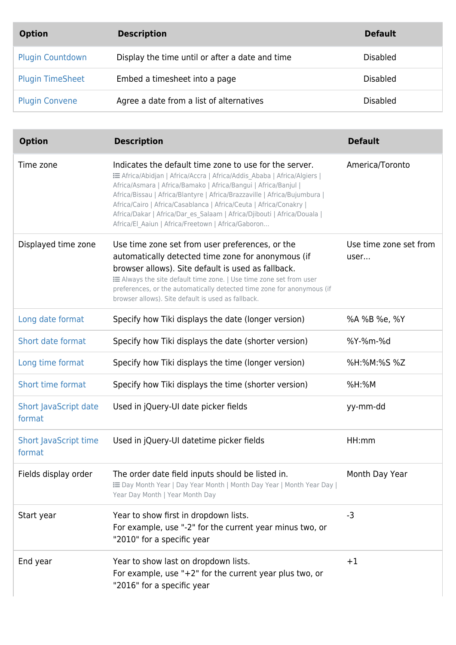| <b>Option</b>           | <b>Description</b>                              | <b>Default</b>  |
|-------------------------|-------------------------------------------------|-----------------|
| <b>Plugin Countdown</b> | Display the time until or after a date and time | <b>Disabled</b> |
| <b>Plugin TimeSheet</b> | Embed a timesheet into a page                   | <b>Disabled</b> |
| <b>Plugin Convene</b>   | Agree a date from a list of alternatives        | <b>Disabled</b> |

| <b>Option</b>                          | <b>Description</b>                                                                                                                                                                                                                                                                                                                                                                                                                                                                       | <b>Default</b>                 |
|----------------------------------------|------------------------------------------------------------------------------------------------------------------------------------------------------------------------------------------------------------------------------------------------------------------------------------------------------------------------------------------------------------------------------------------------------------------------------------------------------------------------------------------|--------------------------------|
| Time zone                              | Indicates the default time zone to use for the server.<br>E Africa/Abidjan   Africa/Accra   Africa/Addis Ababa   Africa/Algiers  <br>Africa/Asmara   Africa/Bamako   Africa/Bangui   Africa/Banjul  <br>Africa/Bissau   Africa/Blantyre   Africa/Brazzaville   Africa/Bujumbura  <br>Africa/Cairo   Africa/Casablanca   Africa/Ceuta   Africa/Conakry  <br>Africa/Dakar   Africa/Dar_es_Salaam   Africa/Djibouti   Africa/Douala  <br>Africa/El_Aaiun   Africa/Freetown   Africa/Gaboron | America/Toronto                |
| Displayed time zone                    | Use time zone set from user preferences, or the<br>automatically detected time zone for anonymous (if<br>browser allows). Site default is used as fallback.<br><b>EXEL</b> Always the site default time zone.   Use time zone set from user<br>preferences, or the automatically detected time zone for anonymous (if<br>browser allows). Site default is used as fallback.                                                                                                              | Use time zone set from<br>user |
| Long date format                       | Specify how Tiki displays the date (longer version)                                                                                                                                                                                                                                                                                                                                                                                                                                      | %A %B %e, %Y                   |
| Short date format                      | Specify how Tiki displays the date (shorter version)                                                                                                                                                                                                                                                                                                                                                                                                                                     | %Y-%m-%d                       |
| Long time format                       | Specify how Tiki displays the time (longer version)                                                                                                                                                                                                                                                                                                                                                                                                                                      | %H:%M:%S %Z                    |
| <b>Short time format</b>               | Specify how Tiki displays the time (shorter version)                                                                                                                                                                                                                                                                                                                                                                                                                                     | %H:%M                          |
| Short JavaScript date<br>format        | Used in jQuery-UI date picker fields                                                                                                                                                                                                                                                                                                                                                                                                                                                     | yy-mm-dd                       |
| <b>Short JavaScript time</b><br>format | Used in jQuery-UI datetime picker fields                                                                                                                                                                                                                                                                                                                                                                                                                                                 | HH:mm                          |
| Fields display order                   | The order date field inputs should be listed in.<br>E Day Month Year   Day Year Month   Month Day Year   Month Year Day  <br>Year Day Month   Year Month Day                                                                                                                                                                                                                                                                                                                             | Month Day Year                 |
| Start year                             | Year to show first in dropdown lists.<br>For example, use "-2" for the current year minus two, or<br>"2010" for a specific year                                                                                                                                                                                                                                                                                                                                                          | $-3$                           |
| End year                               | Year to show last on dropdown lists.<br>For example, use " $+2$ " for the current year plus two, or<br>"2016" for a specific year                                                                                                                                                                                                                                                                                                                                                        | $+1$                           |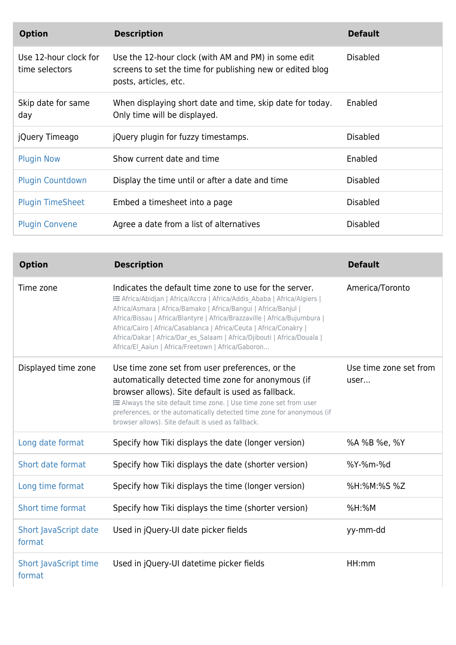| <b>Option</b>                           | <b>Description</b>                                                                                                                        | <b>Default</b>  |
|-----------------------------------------|-------------------------------------------------------------------------------------------------------------------------------------------|-----------------|
| Use 12-hour clock for<br>time selectors | Use the 12-hour clock (with AM and PM) in some edit<br>screens to set the time for publishing new or edited blog<br>posts, articles, etc. | <b>Disabled</b> |
| Skip date for same<br>day               | When displaying short date and time, skip date for today.<br>Only time will be displayed.                                                 | Enabled         |
| jQuery Timeago                          | jQuery plugin for fuzzy timestamps.                                                                                                       | <b>Disabled</b> |
| <b>Plugin Now</b>                       | Show current date and time                                                                                                                | Enabled         |
| <b>Plugin Countdown</b>                 | Display the time until or after a date and time                                                                                           | <b>Disabled</b> |
| <b>Plugin TimeSheet</b>                 | Embed a timesheet into a page                                                                                                             | <b>Disabled</b> |
| <b>Plugin Convene</b>                   | Agree a date from a list of alternatives                                                                                                  | Disabled        |

| <b>Option</b>                          | <b>Description</b>                                                                                                                                                                                                                                                                                                                                                                                                                                                                       | <b>Default</b>                 |
|----------------------------------------|------------------------------------------------------------------------------------------------------------------------------------------------------------------------------------------------------------------------------------------------------------------------------------------------------------------------------------------------------------------------------------------------------------------------------------------------------------------------------------------|--------------------------------|
| Time zone                              | Indicates the default time zone to use for the server.<br>E Africa/Abidjan   Africa/Accra   Africa/Addis Ababa   Africa/Algiers  <br>Africa/Asmara   Africa/Bamako   Africa/Bangui   Africa/Banjul  <br>Africa/Bissau   Africa/Blantyre   Africa/Brazzaville   Africa/Bujumbura  <br>Africa/Cairo   Africa/Casablanca   Africa/Ceuta   Africa/Conakry  <br>Africa/Dakar   Africa/Dar es Salaam   Africa/Djibouti   Africa/Douala  <br>Africa/El_Aaiun   Africa/Freetown   Africa/Gaboron | America/Toronto                |
| Displayed time zone                    | Use time zone set from user preferences, or the<br>automatically detected time zone for anonymous (if<br>browser allows). Site default is used as fallback.<br>: E Always the site default time zone.   Use time zone set from user<br>preferences, or the automatically detected time zone for anonymous (if<br>browser allows). Site default is used as fallback.                                                                                                                      | Use time zone set from<br>user |
| Long date format                       | Specify how Tiki displays the date (longer version)                                                                                                                                                                                                                                                                                                                                                                                                                                      | %A %B %e, %Y                   |
| Short date format                      | Specify how Tiki displays the date (shorter version)                                                                                                                                                                                                                                                                                                                                                                                                                                     | %Y-%m-%d                       |
| Long time format                       | Specify how Tiki displays the time (longer version)                                                                                                                                                                                                                                                                                                                                                                                                                                      | %H:%M:%S %Z                    |
| Short time format                      | Specify how Tiki displays the time (shorter version)                                                                                                                                                                                                                                                                                                                                                                                                                                     | %H:%M                          |
| Short JavaScript date<br>format        | Used in jQuery-UI date picker fields                                                                                                                                                                                                                                                                                                                                                                                                                                                     | yy-mm-dd                       |
| <b>Short JavaScript time</b><br>format | Used in jQuery-UI datetime picker fields                                                                                                                                                                                                                                                                                                                                                                                                                                                 | HH:mm                          |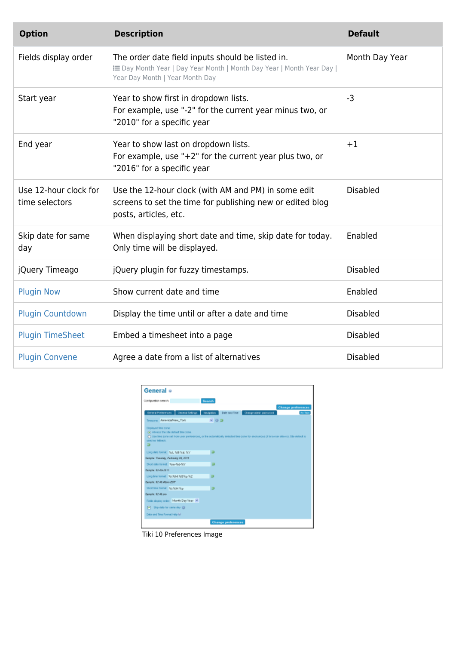| <b>Option</b>                           | <b>Description</b>                                                                                                                                           | <b>Default</b>  |
|-----------------------------------------|--------------------------------------------------------------------------------------------------------------------------------------------------------------|-----------------|
| Fields display order                    | The order date field inputs should be listed in.<br>E Day Month Year   Day Year Month   Month Day Year   Month Year Day  <br>Year Day Month   Year Month Day | Month Day Year  |
| Start year                              | Year to show first in dropdown lists.<br>For example, use "-2" for the current year minus two, or<br>"2010" for a specific year                              | $-3$            |
| End year                                | Year to show last on dropdown lists.<br>For example, use "+2" for the current year plus two, or<br>"2016" for a specific year                                | $+1$            |
| Use 12-hour clock for<br>time selectors | Use the 12-hour clock (with AM and PM) in some edit<br>screens to set the time for publishing new or edited blog<br>posts, articles, etc.                    | <b>Disabled</b> |
| Skip date for same<br>day               | When displaying short date and time, skip date for today.<br>Only time will be displayed.                                                                    | Enabled         |
| jQuery Timeago                          | jQuery plugin for fuzzy timestamps.                                                                                                                          | <b>Disabled</b> |
| <b>Plugin Now</b>                       | Show current date and time                                                                                                                                   | Enabled         |
| <b>Plugin Countdown</b>                 | Display the time until or after a date and time                                                                                                              | <b>Disabled</b> |
| <b>Plugin TimeSheet</b>                 | Embed a timesheet into a page                                                                                                                                | <b>Disabled</b> |
| <b>Plugin Convene</b>                   | Agree a date from a list of alternatives                                                                                                                     | <b>Disabled</b> |

| General o                                                                                |                                                                                                                                         |
|------------------------------------------------------------------------------------------|-----------------------------------------------------------------------------------------------------------------------------------------|
| Configuration search:                                                                    | Search                                                                                                                                  |
|                                                                                          | <b>Change preferences</b>                                                                                                               |
|                                                                                          | Oeneral Preferences   Oeneral Setrigs   Navigation   Cate and Time   Change additivities<br><b>Bo Tabs</b>                              |
| Timezone: AnnexicalNew York                                                              | $-02$                                                                                                                                   |
| Displayed time gone:<br>(4) Aliveys the still default time zone.<br>seed as takeck.<br>ь | 1 Use time zone set from user preferences, or the automatically detected time zone for anonymous (if timeware altered). Site default in |
| Long date formet 544, 549 fald, 50V                                                      | ь                                                                                                                                       |
| Sangle: Taraday, February 08, 2011                                                       |                                                                                                                                         |
| Shot date formet. New-Nid-NY                                                             | в                                                                                                                                       |
| Sangle: 62-85-2811                                                                       |                                                                                                                                         |
| Long line format Nachslet N/SNp N/Z                                                      | в                                                                                                                                       |
| Sanah, 12:48 Wain EST                                                                    |                                                                                                                                         |
| Short line format NorScM No.                                                             | в                                                                                                                                       |
| Sangle: 62.49 pm                                                                         |                                                                                                                                         |
| Reids display order: Month Day'Year W.                                                   |                                                                                                                                         |
| D Sip dife for sime day (B)                                                              |                                                                                                                                         |
| Date and Time Format Help fall                                                           |                                                                                                                                         |
|                                                                                          | <b>Change preferences</b>                                                                                                               |

Tiki 10 Preferences Image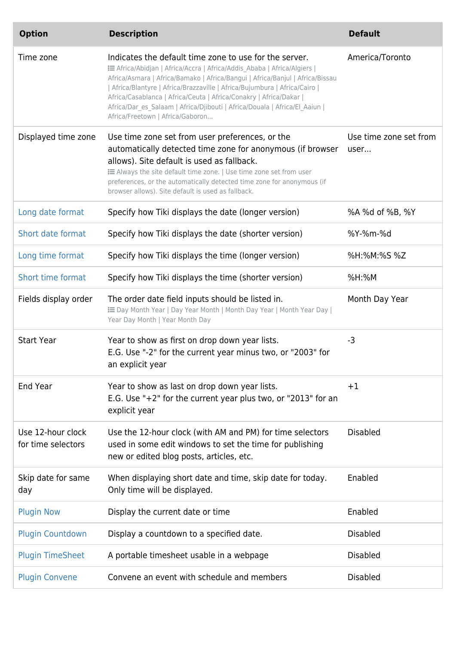| <b>Option</b>                           | <b>Description</b>                                                                                                                                                                                                                                                                                                                                                                                                                                                                       | <b>Default</b>                 |
|-----------------------------------------|------------------------------------------------------------------------------------------------------------------------------------------------------------------------------------------------------------------------------------------------------------------------------------------------------------------------------------------------------------------------------------------------------------------------------------------------------------------------------------------|--------------------------------|
| Time zone                               | Indicates the default time zone to use for the server.<br>E Africa/Abidjan   Africa/Accra   Africa/Addis_Ababa   Africa/Algiers  <br>Africa/Asmara   Africa/Bamako   Africa/Bangui   Africa/Banjul   Africa/Bissau<br>  Africa/Blantyre   Africa/Brazzaville   Africa/Bujumbura   Africa/Cairo  <br>Africa/Casablanca   Africa/Ceuta   Africa/Conakry   Africa/Dakar  <br>Africa/Dar es Salaam   Africa/Djibouti   Africa/Douala   Africa/El Aaiun  <br>Africa/Freetown   Africa/Gaboron | America/Toronto                |
| Displayed time zone                     | Use time zone set from user preferences, or the<br>automatically detected time zone for anonymous (if browser<br>allows). Site default is used as fallback.<br>E Always the site default time zone.   Use time zone set from user<br>preferences, or the automatically detected time zone for anonymous (if<br>browser allows). Site default is used as fallback.                                                                                                                        | Use time zone set from<br>user |
| Long date format                        | Specify how Tiki displays the date (longer version)                                                                                                                                                                                                                                                                                                                                                                                                                                      | %A %d of %B, %Y                |
| Short date format                       | Specify how Tiki displays the date (shorter version)                                                                                                                                                                                                                                                                                                                                                                                                                                     | %Y-%m-%d                       |
| Long time format                        | Specify how Tiki displays the time (longer version)                                                                                                                                                                                                                                                                                                                                                                                                                                      | %H:%M:%S %Z                    |
| <b>Short time format</b>                | Specify how Tiki displays the time (shorter version)                                                                                                                                                                                                                                                                                                                                                                                                                                     | %H:%M                          |
| Fields display order                    | The order date field inputs should be listed in.<br>E Day Month Year   Day Year Month   Month Day Year   Month Year Day  <br>Year Day Month   Year Month Day                                                                                                                                                                                                                                                                                                                             | Month Day Year                 |
| <b>Start Year</b>                       | Year to show as first on drop down year lists.<br>E.G. Use "-2" for the current year minus two, or "2003" for<br>an explicit year                                                                                                                                                                                                                                                                                                                                                        | $-3$                           |
| End Year                                | Year to show as last on drop down year lists.<br>E.G. Use " $+2$ " for the current year plus two, or "2013" for an<br>explicit year                                                                                                                                                                                                                                                                                                                                                      | $+1$                           |
| Use 12-hour clock<br>for time selectors | Use the 12-hour clock (with AM and PM) for time selectors<br>used in some edit windows to set the time for publishing<br>new or edited blog posts, articles, etc.                                                                                                                                                                                                                                                                                                                        | <b>Disabled</b>                |
| Skip date for same<br>day               | When displaying short date and time, skip date for today.<br>Only time will be displayed.                                                                                                                                                                                                                                                                                                                                                                                                | Enabled                        |
| <b>Plugin Now</b>                       | Display the current date or time                                                                                                                                                                                                                                                                                                                                                                                                                                                         | Enabled                        |
| <b>Plugin Countdown</b>                 | Display a countdown to a specified date.                                                                                                                                                                                                                                                                                                                                                                                                                                                 | <b>Disabled</b>                |
| <b>Plugin TimeSheet</b>                 | A portable timesheet usable in a webpage                                                                                                                                                                                                                                                                                                                                                                                                                                                 | <b>Disabled</b>                |
| <b>Plugin Convene</b>                   | Convene an event with schedule and members                                                                                                                                                                                                                                                                                                                                                                                                                                               | <b>Disabled</b>                |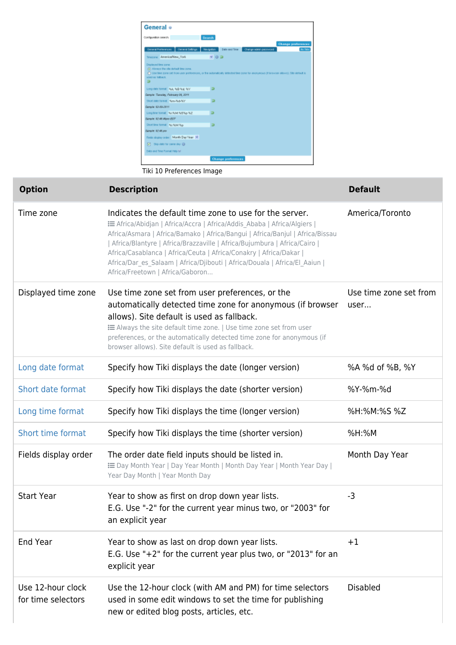

Tiki 10 Preferences Image

| <b>Option</b>                           | <b>Description</b>                                                                                                                                                                                                                                                                                                                                                                                                                                                                     | <b>Default</b>                 |
|-----------------------------------------|----------------------------------------------------------------------------------------------------------------------------------------------------------------------------------------------------------------------------------------------------------------------------------------------------------------------------------------------------------------------------------------------------------------------------------------------------------------------------------------|--------------------------------|
| Time zone                               | Indicates the default time zone to use for the server.<br>E Africa/Abidjan   Africa/Accra   Africa/Addis Ababa   Africa/Algiers  <br>Africa/Asmara   Africa/Bamako   Africa/Bangui   Africa/Banjul   Africa/Bissau<br>Africa/Blantyre   Africa/Brazzaville   Africa/Bujumbura   Africa/Cairo  <br>Africa/Casablanca   Africa/Ceuta   Africa/Conakry   Africa/Dakar  <br>Africa/Dar_es_Salaam   Africa/Djibouti   Africa/Douala   Africa/El_Aaiun  <br>Africa/Freetown   Africa/Gaboron | America/Toronto                |
| Displayed time zone                     | Use time zone set from user preferences, or the<br>automatically detected time zone for anonymous (if browser<br>allows). Site default is used as fallback.<br>E Always the site default time zone.   Use time zone set from user<br>preferences, or the automatically detected time zone for anonymous (if<br>browser allows). Site default is used as fallback.                                                                                                                      | Use time zone set from<br>user |
| Long date format                        | Specify how Tiki displays the date (longer version)                                                                                                                                                                                                                                                                                                                                                                                                                                    | %A %d of %B, %Y                |
| Short date format                       | Specify how Tiki displays the date (shorter version)                                                                                                                                                                                                                                                                                                                                                                                                                                   | %Y-%m-%d                       |
| Long time format                        | Specify how Tiki displays the time (longer version)                                                                                                                                                                                                                                                                                                                                                                                                                                    | %H:%M:%S %Z                    |
| Short time format                       | Specify how Tiki displays the time (shorter version)                                                                                                                                                                                                                                                                                                                                                                                                                                   | $%H:$ %M                       |
| Fields display order                    | The order date field inputs should be listed in.<br>E Day Month Year   Day Year Month   Month Day Year   Month Year Day  <br>Year Day Month   Year Month Day                                                                                                                                                                                                                                                                                                                           | Month Day Year                 |
| <b>Start Year</b>                       | Year to show as first on drop down year lists.<br>E.G. Use "-2" for the current year minus two, or "2003" for<br>an explicit year                                                                                                                                                                                                                                                                                                                                                      | $-3$                           |
| End Year                                | Year to show as last on drop down year lists.<br>E.G. Use "+2" for the current year plus two, or "2013" for an<br>explicit year                                                                                                                                                                                                                                                                                                                                                        | $+1$                           |
| Use 12-hour clock<br>for time selectors | Use the 12-hour clock (with AM and PM) for time selectors<br>used in some edit windows to set the time for publishing<br>new or edited blog posts, articles, etc.                                                                                                                                                                                                                                                                                                                      | <b>Disabled</b>                |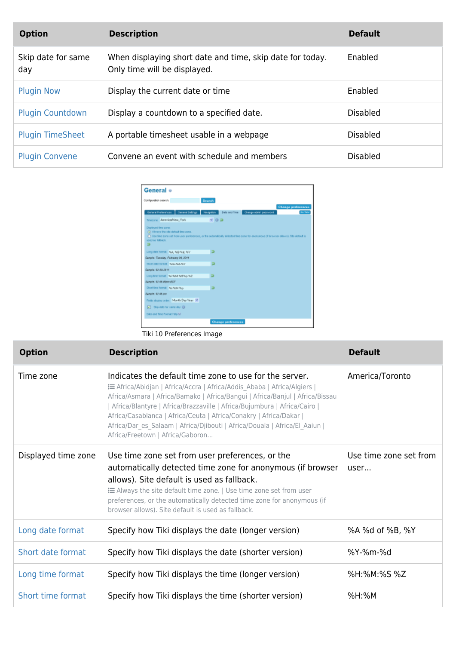| <b>Option</b>             | <b>Description</b>                                                                        | <b>Default</b>  |
|---------------------------|-------------------------------------------------------------------------------------------|-----------------|
| Skip date for same<br>day | When displaying short date and time, skip date for today.<br>Only time will be displayed. | Enabled         |
| <b>Plugin Now</b>         | Display the current date or time                                                          | Enabled         |
| <b>Plugin Countdown</b>   | Display a countdown to a specified date.                                                  | <b>Disabled</b> |
| <b>Plugin TimeSheet</b>   | A portable timesheet usable in a webpage                                                  | <b>Disabled</b> |
| <b>Plugin Convene</b>     | Convene an event with schedule and members                                                | <b>Disabled</b> |

| General o                                                                                                        |                                        |                                                                                                                                                 |
|------------------------------------------------------------------------------------------------------------------|----------------------------------------|-------------------------------------------------------------------------------------------------------------------------------------------------|
| Configuration search:                                                                                            |                                        | Search                                                                                                                                          |
|                                                                                                                  | General Preferences   General Setings  | Change preferences<br>Nevigation<br>Date and Time<br>Change addin password<br><b>No Tabs</b>                                                    |
| Texture: AmericaNew York<br>Displayed time gone:<br>(F) Alivays the still default time zone.<br>used as talkack. |                                        | $-02$<br>C) Use time zone set from user preferences, or the automatically detected time zone for anonymous (if browser allows). Site default in |
| в<br>Long date formet: NJA, NJB NJ & N/V                                                                         |                                        | ь                                                                                                                                               |
| Sangle: Taraday, February 06, 2011<br>Stort date formet: New-Nid-NY                                              |                                        | ь                                                                                                                                               |
| Sangle: 62-85-2811<br>Long line format Nachi McNightip NZ                                                        |                                        | в                                                                                                                                               |
| Sanah: 82-48 Wain EST<br>Short time format No-NAM Nov                                                            |                                        | в                                                                                                                                               |
| Sanah: 62.49 pm                                                                                                  | Reids display cross: Month Day'Year M. |                                                                                                                                                 |
| FT Squake for same day @<br>Date and Time Format Help fall                                                       |                                        |                                                                                                                                                 |
|                                                                                                                  |                                        | <b>Change preferences</b>                                                                                                                       |

Tiki 10 Preferences Image

| <b>Option</b>       | <b>Description</b>                                                                                                                                                                                                                                                                                                                                                                                                                                                                       | <b>Default</b>                 |
|---------------------|------------------------------------------------------------------------------------------------------------------------------------------------------------------------------------------------------------------------------------------------------------------------------------------------------------------------------------------------------------------------------------------------------------------------------------------------------------------------------------------|--------------------------------|
| Time zone           | Indicates the default time zone to use for the server.<br>: E Africa/Abidjan   Africa/Accra   Africa/Addis_Ababa   Africa/Algiers  <br>Africa/Asmara   Africa/Bamako   Africa/Bangui   Africa/Banjul   Africa/Bissau<br>Africa/Blantyre   Africa/Brazzaville   Africa/Bujumbura   Africa/Cairo  <br>Africa/Casablanca   Africa/Ceuta   Africa/Conakry   Africa/Dakar  <br>Africa/Dar_es_Salaam   Africa/Djibouti   Africa/Douala   Africa/El_Aaiun  <br>Africa/Freetown   Africa/Gaboron | America/Toronto                |
| Displayed time zone | Use time zone set from user preferences, or the<br>automatically detected time zone for anonymous (if browser<br>allows). Site default is used as fallback.<br><b>EXEL</b> Always the site default time zone.   Use time zone set from user<br>preferences, or the automatically detected time zone for anonymous (if<br>browser allows). Site default is used as fallback.                                                                                                              | Use time zone set from<br>user |
| Long date format    | Specify how Tiki displays the date (longer version)                                                                                                                                                                                                                                                                                                                                                                                                                                      | %A %d of %B, %Y                |
| Short date format   | Specify how Tiki displays the date (shorter version)                                                                                                                                                                                                                                                                                                                                                                                                                                     | %Y-%m-%d                       |
| Long time format    | Specify how Tiki displays the time (longer version)                                                                                                                                                                                                                                                                                                                                                                                                                                      | %H:%M:%S %Z                    |
| Short time format   | Specify how Tiki displays the time (shorter version)                                                                                                                                                                                                                                                                                                                                                                                                                                     | %H:%M                          |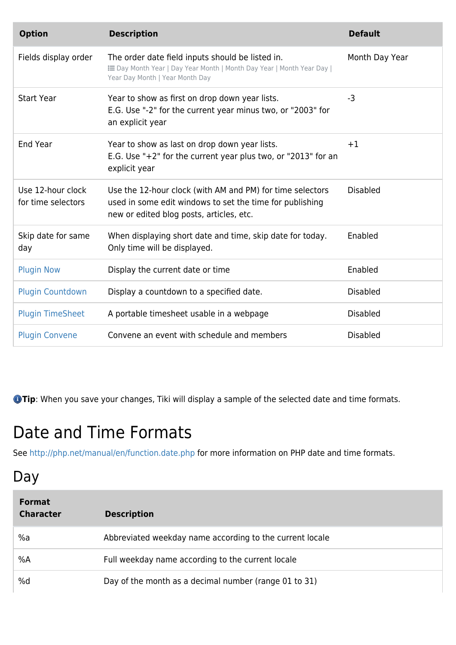| <b>Option</b>                           | <b>Description</b>                                                                                                                                                | <b>Default</b>  |
|-----------------------------------------|-------------------------------------------------------------------------------------------------------------------------------------------------------------------|-----------------|
| Fields display order                    | The order date field inputs should be listed in.<br>E Day Month Year   Day Year Month   Month Day Year   Month Year Day  <br>Year Day Month   Year Month Day      | Month Day Year  |
| <b>Start Year</b>                       | Year to show as first on drop down year lists.<br>E.G. Use "-2" for the current year minus two, or "2003" for<br>an explicit year                                 | $-3$            |
| End Year                                | Year to show as last on drop down year lists.<br>E.G. Use " $+2$ " for the current year plus two, or "2013" for an<br>explicit year                               | $+1$            |
| Use 12-hour clock<br>for time selectors | Use the 12-hour clock (with AM and PM) for time selectors<br>used in some edit windows to set the time for publishing<br>new or edited blog posts, articles, etc. | <b>Disabled</b> |
| Skip date for same<br>day               | When displaying short date and time, skip date for today.<br>Only time will be displayed.                                                                         | Enabled         |
| <b>Plugin Now</b>                       | Display the current date or time                                                                                                                                  | Enabled         |
| <b>Plugin Countdown</b>                 | Display a countdown to a specified date.                                                                                                                          | <b>Disabled</b> |
| <b>Plugin TimeSheet</b>                 | A portable timesheet usable in a webpage                                                                                                                          | <b>Disabled</b> |
| <b>Plugin Convene</b>                   | Convene an event with schedule and members                                                                                                                        | <b>Disabled</b> |

**Tip**: When you save your changes, Tiki will display a sample of the selected date and time formats.

# Date and Time Formats

See <http://php.net/manual/en/function.date.php>for more information on PHP date and time formats.

#### Day

| <b>Format</b><br><b>Character</b> | <b>Description</b>                                       |
|-----------------------------------|----------------------------------------------------------|
| %a                                | Abbreviated weekday name according to the current locale |
| %A                                | Full weekday name according to the current locale        |
| %d                                | Day of the month as a decimal number (range 01 to 31)    |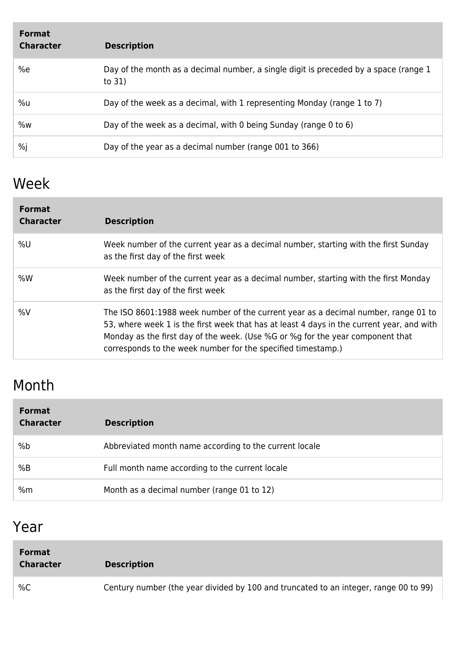| <b>Format</b><br><b>Character</b> | <b>Description</b>                                                                              |
|-----------------------------------|-------------------------------------------------------------------------------------------------|
| %e                                | Day of the month as a decimal number, a single digit is preceded by a space (range 1)<br>to 31) |
| %u                                | Day of the week as a decimal, with 1 representing Monday (range 1 to 7)                         |
| %w                                | Day of the week as a decimal, with 0 being Sunday (range 0 to 6)                                |
| %j                                | Day of the year as a decimal number (range 001 to 366)                                          |

### Week

| <b>Format</b><br><b>Character</b> | <b>Description</b>                                                                                                                                                                                                                                                                                                                |
|-----------------------------------|-----------------------------------------------------------------------------------------------------------------------------------------------------------------------------------------------------------------------------------------------------------------------------------------------------------------------------------|
| %U                                | Week number of the current year as a decimal number, starting with the first Sunday<br>as the first day of the first week                                                                                                                                                                                                         |
| %W                                | Week number of the current year as a decimal number, starting with the first Monday<br>as the first day of the first week                                                                                                                                                                                                         |
| %V                                | The ISO 8601:1988 week number of the current year as a decimal number, range 01 to<br>53, where week 1 is the first week that has at least 4 days in the current year, and with<br>Monday as the first day of the week. (Use %G or %g for the year component that<br>corresponds to the week number for the specified timestamp.) |

### Month

| <b>Format</b><br><b>Character</b> | <b>Description</b>                                     |
|-----------------------------------|--------------------------------------------------------|
| %b                                | Abbreviated month name according to the current locale |
| %B                                | Full month name according to the current locale        |
| %m                                | Month as a decimal number (range 01 to 12)             |

## Year

| <b>Format</b><br><b>Character</b> | <b>Description</b>                                                                   |
|-----------------------------------|--------------------------------------------------------------------------------------|
| %C                                | Century number (the year divided by 100 and truncated to an integer, range 00 to 99) |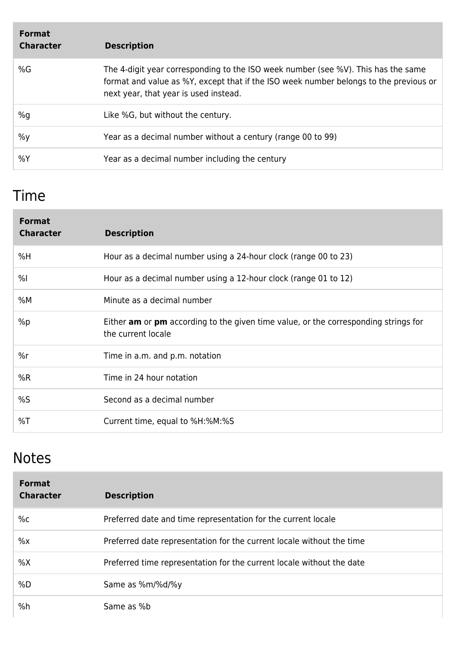| <b>Format</b><br><b>Character</b> | <b>Description</b>                                                                                                                                                                                                  |
|-----------------------------------|---------------------------------------------------------------------------------------------------------------------------------------------------------------------------------------------------------------------|
| %G                                | The 4-digit year corresponding to the ISO week number (see %V). This has the same<br>format and value as %Y, except that if the ISO week number belongs to the previous or<br>next year, that year is used instead. |
| %g                                | Like %G, but without the century.                                                                                                                                                                                   |
| $\%y$                             | Year as a decimal number without a century (range 00 to 99)                                                                                                                                                         |
| %Y                                | Year as a decimal number including the century                                                                                                                                                                      |

### Time

| <b>Format</b><br><b>Character</b> | <b>Description</b>                                                                                                      |
|-----------------------------------|-------------------------------------------------------------------------------------------------------------------------|
| %H                                | Hour as a decimal number using a 24-hour clock (range 00 to 23)                                                         |
| %                                 | Hour as a decimal number using a 12-hour clock (range 01 to 12)                                                         |
| %M                                | Minute as a decimal number                                                                                              |
| %p                                | Either <b>am</b> or <b>pm</b> according to the given time value, or the corresponding strings for<br>the current locale |
| %r                                | Time in a.m. and p.m. notation                                                                                          |
| %R                                | Time in 24 hour notation                                                                                                |
| %S                                | Second as a decimal number                                                                                              |
| %T                                | Current time, equal to %H:%M:%S                                                                                         |

#### Notes

| <b>Format</b><br><b>Character</b> | <b>Description</b>                                                    |
|-----------------------------------|-----------------------------------------------------------------------|
| $\%c$                             | Preferred date and time representation for the current locale         |
| $\%x$                             | Preferred date representation for the current locale without the time |
| %X                                | Preferred time representation for the current locale without the date |
| %D                                | Same as %m/%d/%y                                                      |
| %h                                | Same as %b                                                            |